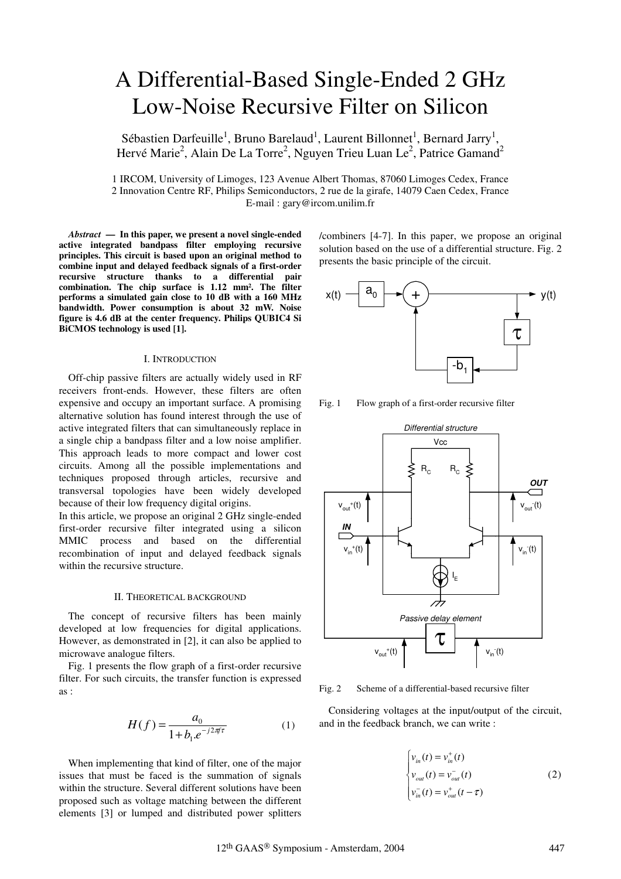# A Differential-Based Single-Ended 2 GHz Low-Noise Recursive Filter on Silicon

Sébastien Darfeuille<sup>1</sup>, Bruno Barelaud<sup>1</sup>, Laurent Billonnet<sup>1</sup>, Bernard Jarry<sup>1</sup>, Hervé Marie<sup>2</sup>, Alain De La Torre<sup>2</sup>, Nguyen Trieu Luan Le<sup>2</sup>, Patrice Gamand<sup>2</sup>

1 IRCOM, University of Limoges, 123 Avenue Albert Thomas, 87060 Limoges Cedex, France 2 Innovation Centre RF, Philips Semiconductors, 2 rue de la girafe, 14079 Caen Cedex, France E-mail : gary@ircom.unilim.fr

*Abstract* **— In this paper, we present a novel single-ended active integrated bandpass filter employing recursive principles. This circuit is based upon an original method to combine input and delayed feedback signals of a first-order recursive structure thanks to a differential pair combination. The chip surface is 1.12 mm². The filter performs a simulated gain close to 10 dB with a 160 MHz bandwidth. Power consumption is about 32 mW. Noise figure is 4.6 dB at the center frequency. Philips QUBIC4 Si BiCMOS technology is used [1].**

## I. INTRODUCTION

Off-chip passive filters are actually widely used in RF receivers front-ends. However, these filters are often expensive and occupy an important surface. A promising alternative solution has found interest through the use of active integrated filters that can simultaneously replace in a single chip a bandpass filter and a low noise amplifier. This approach leads to more compact and lower cost circuits. Among all the possible implementations and techniques proposed through articles, recursive and transversal topologies have been widely developed because of their low frequency digital origins.

In this article, we propose an original 2 GHz single-ended first-order recursive filter integrated using a silicon MMIC process and based on the differential recombination of input and delayed feedback signals within the recursive structure.

#### II. THEORETICAL BACKGROUND

The concept of recursive filters has been mainly developed at low frequencies for digital applications. However, as demonstrated in [2], it can also be applied to microwave analogue filters.

Fig. 1 presents the flow graph of a first-order recursive filter. For such circuits, the transfer function is expressed as :

$$
H(f) = \frac{a_0}{1 + b_1 e^{-j2\pi f \tau}}
$$
 (1)

When implementing that kind of filter, one of the major issues that must be faced is the summation of signals within the structure. Several different solutions have been proposed such as voltage matching between the different elements [3] or lumped and distributed power splitters /combiners [4-7]. In this paper, we propose an original solution based on the use of a differential structure. Fig. 2 presents the basic principle of the circuit.



Fig. 1 Flow graph of a first-order recursive filter



Fig. 2 Scheme of a differential-based recursive filter

Considering voltages at the input/output of the circuit, and in the feedback branch, we can write :

$$
\begin{cases}\nv_{in}(t) = v_{in}^{+}(t) \\
v_{out}(t) = v_{out}^{-}(t) \\
v_{in}^{-}(t) = v_{out}^{+}(t - \tau)\n\end{cases}
$$
\n(2)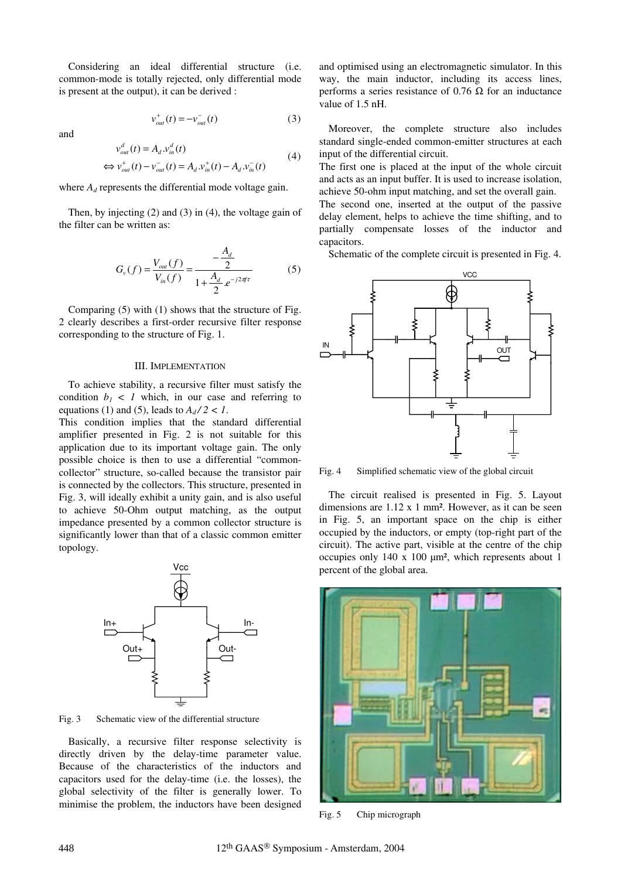Considering an ideal differential structure (i.e. common-mode is totally rejected, only differential mode is present at the output), it can be derived :

and

$$
v_{out}^{+}(t) = -v_{out}^{-}(t)
$$
 (3)

$$
v_{out}^{d}(t) = A_{d} v_{in}^{d}(t)
$$
  
\n
$$
\Leftrightarrow v_{out}^{+}(t) - v_{out}^{-}(t) = A_{d} v_{in}^{+}(t) - A_{d} v_{in}^{-}(t)
$$
\n(4)

where  $A_d$  represents the differential mode voltage gain.

Then, by injecting (2) and (3) in (4), the voltage gain of the filter can be written as:

$$
G_{\nu}(f) = \frac{V_{out}(f)}{V_{in}(f)} = \frac{-\frac{A_d}{2}}{1 + \frac{A_d}{2} e^{-j2\pi f \tau}}
$$
(5)

Comparing (5) with (1) shows that the structure of Fig. 2 clearly describes a first-order recursive filter response corresponding to the structure of Fig. 1.

## III. IMPLEMENTATION

To achieve stability, a recursive filter must satisfy the condition  $b_1 < 1$  which, in our case and referring to equations (1) and (5), leads to  $A_d/2 < 1$ .

This condition implies that the standard differential amplifier presented in Fig. 2 is not suitable for this application due to its important voltage gain. The only possible choice is then to use a differential "commoncollector" structure, so-called because the transistor pair is connected by the collectors. This structure, presented in Fig. 3, will ideally exhibit a unity gain, and is also useful to achieve 50-Ohm output matching, as the output impedance presented by a common collector structure is significantly lower than that of a classic common emitter topology.



Fig. 3 Schematic view of the differential structure

Basically, a recursive filter response selectivity is directly driven by the delay-time parameter value. Because of the characteristics of the inductors and capacitors used for the delay-time (i.e. the losses), the global selectivity of the filter is generally lower. To minimise the problem, the inductors have been designed and optimised using an electromagnetic simulator. In this way, the main inductor, including its access lines, performs a series resistance of 0.76 Ω for an inductance value of 1.5 nH.

Moreover, the complete structure also includes standard single-ended common-emitter structures at each input of the differential circuit.

The first one is placed at the input of the whole circuit and acts as an input buffer. It is used to increase isolation, achieve 50-ohm input matching, and set the overall gain.

The second one, inserted at the output of the passive delay element, helps to achieve the time shifting, and to partially compensate losses of the inductor and capacitors.

Schematic of the complete circuit is presented in Fig. 4.



Fig. 4 Simplified schematic view of the global circuit

The circuit realised is presented in Fig. 5. Layout dimensions are 1.12 x 1 mm². However, as it can be seen in Fig. 5, an important space on the chip is either occupied by the inductors, or empty (top-right part of the circuit). The active part, visible at the centre of the chip occupies only 140 x 100 µm², which represents about 1 percent of the global area.



Fig. 5 Chip micrograph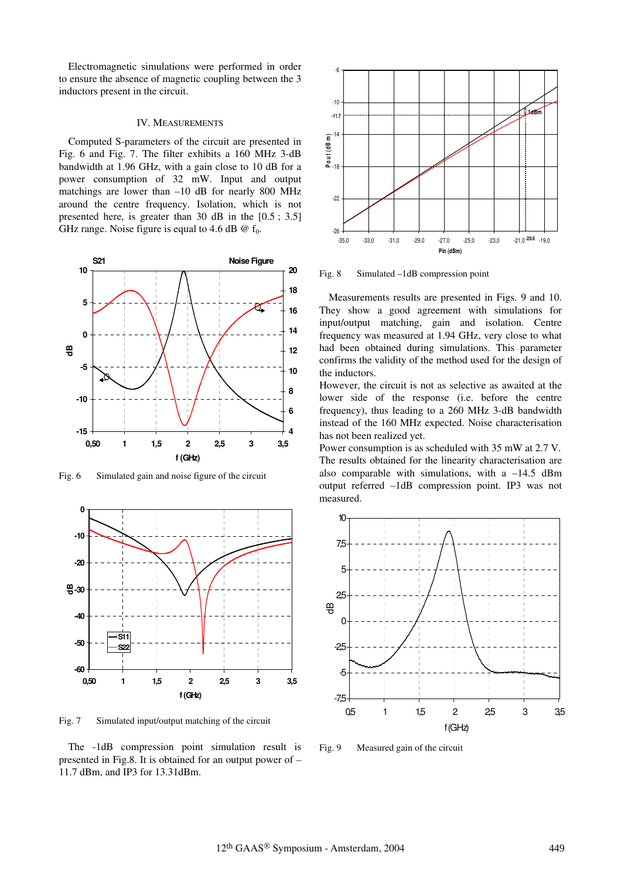Electromagnetic simulations were performed in order to ensure the absence of magnetic coupling between the 3 inductors present in the circuit.

#### IV. MEASUREMENTS

Computed S-parameters of the circuit are presented in Fig. 6 and Fig. 7. The filter exhibits a 160 MHz 3-dB bandwidth at 1.96 GHz, with a gain close to 10 dB for a power consumption of 32 mW. Input and output matchings are lower than  $-10$  dB for nearly 800 MHz around the centre frequency. Isolation, which is not presented here, is greater than 30 dB in the [0.5 ; 3.5] GHz range. Noise figure is equal to 4.6 dB  $\omega$  f<sub>0</sub>.



Fig. 6 Simulated gain and noise figure of the circuit



Fig. 7 Simulated input/output matching of the circuit

The -1dB compression point simulation result is presented in Fig.8. It is obtained for an output power of – 11.7 dBm, and IP3 for 13.31dBm.



Fig. 8 Simulated –1dB compression point

Measurements results are presented in Figs. 9 and 10. They show a good agreement with simulations for input/output matching, gain and isolation. Centre frequency was measured at 1.94 GHz, very close to what had been obtained during simulations. This parameter confirms the validity of the method used for the design of the inductors.

However, the circuit is not as selective as awaited at the lower side of the response (i.e. before the centre frequency), thus leading to a 260 MHz 3-dB bandwidth instead of the 160 MHz expected. Noise characterisation has not been realized yet.

Power consumption is as scheduled with 35 mW at 2.7 V. The results obtained for the linearity characterisation are also comparable with simulations, with a  $-14.5$  dBm output referred –1dB compression point. IP3 was not measured.



Fig. 9 Measured gain of the circuit